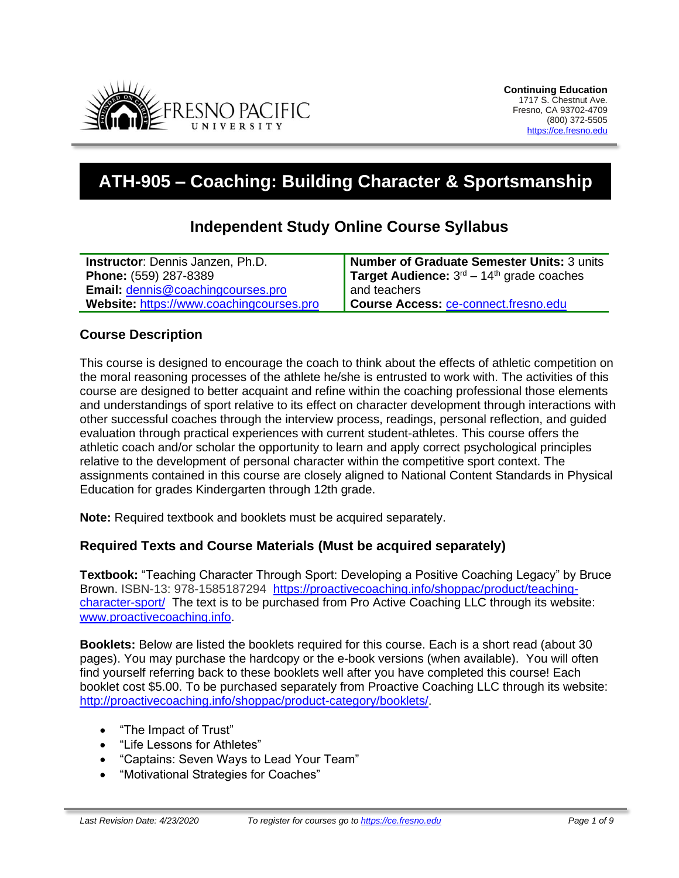

# **ATH-905 – Coaching: Building Character & Sportsmanship**

# **Independent Study Online Course Syllabus**

| <b>Instructor:</b> Dennis Janzen, Ph.D.  | Number of Graduate Semester Units: 3 units                        |
|------------------------------------------|-------------------------------------------------------------------|
| Phone: (559) 287-8389                    | <b>Target Audience:</b> $3^{rd}$ – 14 <sup>th</sup> grade coaches |
| Email: dennis@coachingcourses.pro        | and teachers                                                      |
| Website: https://www.coachingcourses.pro | Course Access: ce-connect.fresno.edu                              |

## **Course Description**

This course is designed to encourage the coach to think about the effects of athletic competition on the moral reasoning processes of the athlete he/she is entrusted to work with. The activities of this course are designed to better acquaint and refine within the coaching professional those elements and understandings of sport relative to its effect on character development through interactions with other successful coaches through the interview process, readings, personal reflection, and guided evaluation through practical experiences with current student-athletes. This course offers the athletic coach and/or scholar the opportunity to learn and apply correct psychological principles relative to the development of personal character within the competitive sport context. The assignments contained in this course are closely aligned to National Content Standards in Physical Education for grades Kindergarten through 12th grade.

**Note:** Required textbook and booklets must be acquired separately.

#### **Required Texts and Course Materials (Must be acquired separately)**

**Textbook:** "Teaching Character Through Sport: Developing a Positive Coaching Legacy" by Bruce Brown. ISBN-13: 978-1585187294 [https://proactivecoaching.info/shoppac/product/teaching](https://proactivecoaching.info/shoppac/product/teaching-character-sport/)[character-sport/](https://proactivecoaching.info/shoppac/product/teaching-character-sport/) The text is to be purchased from Pro Active Coaching LLC through its website: [www.proactivecoaching.info.](http://www.proactivecoaching.info/)

**Booklets:** Below are listed the booklets required for this course. Each is a short read (about 30 pages). You may purchase the hardcopy or the e-book versions (when available). You will often find yourself referring back to these booklets well after you have completed this course! Each booklet cost \$5.00. To be purchased separately from Proactive Coaching LLC through its website: [http://proactivecoaching.info/shoppac/product-category/booklets/.](http://proactivecoaching.info/shoppac/product-category/booklets/)

- "The Impact of Trust"
- "Life Lessons for Athletes"
- "Captains: Seven Ways to Lead Your Team"
- "Motivational Strategies for Coaches"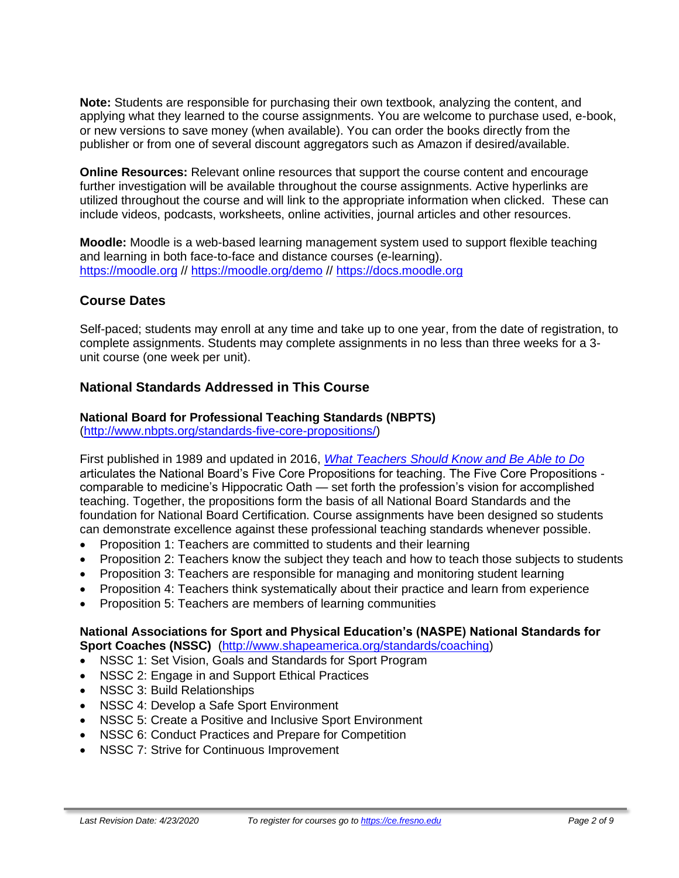**Note:** Students are responsible for purchasing their own textbook, analyzing the content, and applying what they learned to the course assignments. You are welcome to purchase used, e-book, or new versions to save money (when available). You can order the books directly from the publisher or from one of several discount aggregators such as Amazon if desired/available.

**Online Resources:** Relevant online resources that support the course content and encourage further investigation will be available throughout the course assignments. Active hyperlinks are utilized throughout the course and will link to the appropriate information when clicked. These can include videos, podcasts, worksheets, online activities, journal articles and other resources.

**Moodle:** Moodle is a web-based learning management system used to support flexible teaching and learning in both face-to-face and distance courses (e-learning). [https://moodle.org](https://moodle.org/) //<https://moodle.org/demo> // [https://docs.moodle.org](https://docs.moodle.org/)

# **Course Dates**

Self-paced; students may enroll at any time and take up to one year, from the date of registration, to complete assignments. Students may complete assignments in no less than three weeks for a 3 unit course (one week per unit).

# **National Standards Addressed in This Course**

#### **National Board for Professional Teaching Standards (NBPTS)**

[\(http://www.nbpts.org/standards-five-core-propositions/\)](http://www.nbpts.org/standards-five-core-propositions/)

First published in 1989 and updated in 2016, *[What Teachers Should Know and Be Able to Do](http://www.accomplishedteacher.org/)* articulates the National Board's Five Core Propositions for teaching. The Five Core Propositions comparable to medicine's Hippocratic Oath — set forth the profession's vision for accomplished teaching. Together, the propositions form the basis of all National Board Standards and the foundation for National Board Certification. Course assignments have been designed so students can demonstrate excellence against these professional teaching standards whenever possible.

- Proposition 1: Teachers are committed to students and their learning
- Proposition 2: Teachers know the subject they teach and how to teach those subjects to students
- Proposition 3: Teachers are responsible for managing and monitoring student learning
- Proposition 4: Teachers think systematically about their practice and learn from experience
- Proposition 5: Teachers are members of learning communities

#### **National Associations for Sport and Physical Education's (NASPE) National Standards for Sport Coaches (NSSC)** [\(http://www.shapeamerica.org/standards/coaching\)](http://www.shapeamerica.org/standards/coaching)

- NSSC 1: Set Vision, Goals and Standards for Sport Program
- NSSC 2: Engage in and Support Ethical Practices
- NSSC 3: Build Relationships
- NSSC 4: Develop a Safe Sport Environment
- NSSC 5: Create a Positive and Inclusive Sport Environment
- NSSC 6: Conduct Practices and Prepare for Competition
- NSSC 7: Strive for Continuous Improvement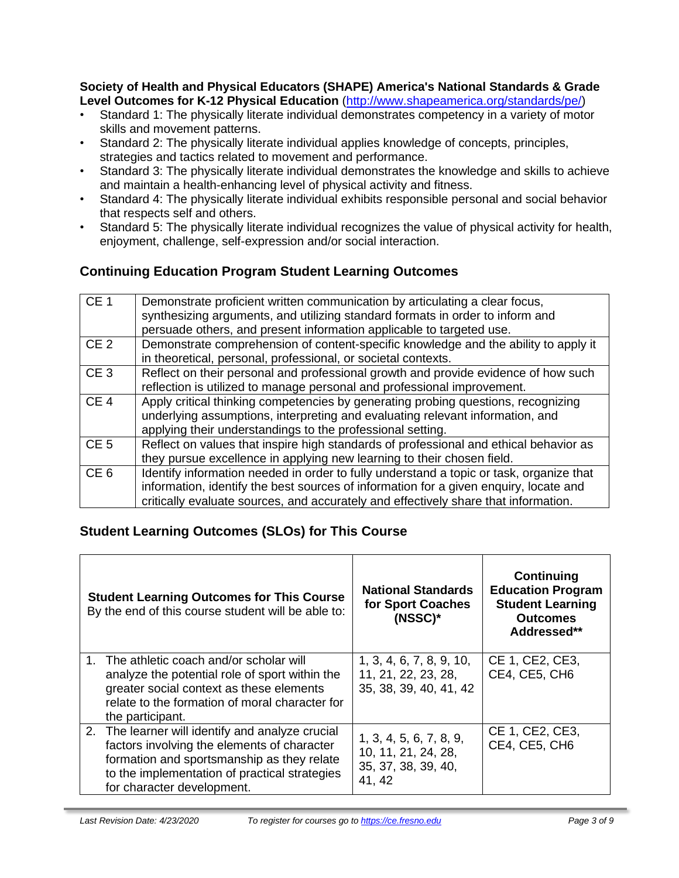**Society of Health and Physical Educators (SHAPE) America's National Standards & Grade Level Outcomes for K-12 Physical Education** [\(http://www.shapeamerica.org/standards/pe/\)](http://www.shapeamerica.org/standards/pe/)

- Standard 1: The physically literate individual demonstrates competency in a variety of motor skills and movement patterns.
- Standard 2: The physically literate individual applies knowledge of concepts, principles, strategies and tactics related to movement and performance.
- Standard 3: The physically literate individual demonstrates the knowledge and skills to achieve and maintain a health-enhancing level of physical activity and fitness.
- Standard 4: The physically literate individual exhibits responsible personal and social behavior that respects self and others.
- Standard 5: The physically literate individual recognizes the value of physical activity for health, enjoyment, challenge, self-expression and/or social interaction.

# **Continuing Education Program Student Learning Outcomes**

| CE <sub>1</sub> | Demonstrate proficient written communication by articulating a clear focus,<br>synthesizing arguments, and utilizing standard formats in order to inform and<br>persuade others, and present information applicable to targeted use.                                    |
|-----------------|-------------------------------------------------------------------------------------------------------------------------------------------------------------------------------------------------------------------------------------------------------------------------|
| CE <sub>2</sub> | Demonstrate comprehension of content-specific knowledge and the ability to apply it<br>in theoretical, personal, professional, or societal contexts.                                                                                                                    |
| CE <sub>3</sub> | Reflect on their personal and professional growth and provide evidence of how such<br>reflection is utilized to manage personal and professional improvement.                                                                                                           |
| CE <sub>4</sub> | Apply critical thinking competencies by generating probing questions, recognizing<br>underlying assumptions, interpreting and evaluating relevant information, and<br>applying their understandings to the professional setting.                                        |
| CE <sub>5</sub> | Reflect on values that inspire high standards of professional and ethical behavior as<br>they pursue excellence in applying new learning to their chosen field.                                                                                                         |
| CE <sub>6</sub> | Identify information needed in order to fully understand a topic or task, organize that<br>information, identify the best sources of information for a given enquiry, locate and<br>critically evaluate sources, and accurately and effectively share that information. |

# **Student Learning Outcomes (SLOs) for This Course**

| <b>Student Learning Outcomes for This Course</b><br>By the end of this course student will be able to:                                                                                                                       | <b>National Standards</b><br>for Sport Coaches<br>$(NSSC)^*$                    | Continuing<br><b>Education Program</b><br><b>Student Learning</b><br><b>Outcomes</b><br>Addressed** |
|------------------------------------------------------------------------------------------------------------------------------------------------------------------------------------------------------------------------------|---------------------------------------------------------------------------------|-----------------------------------------------------------------------------------------------------|
| 1. The athletic coach and/or scholar will<br>analyze the potential role of sport within the<br>greater social context as these elements<br>relate to the formation of moral character for<br>the participant.                | 1, 3, 4, 6, 7, 8, 9, 10,<br>11, 21, 22, 23, 28,<br>35, 38, 39, 40, 41, 42       | CE 1, CE2, CE3,<br>CE4, CE5, CH6                                                                    |
| 2. The learner will identify and analyze crucial<br>factors involving the elements of character<br>formation and sportsmanship as they relate<br>to the implementation of practical strategies<br>for character development. | 1, 3, 4, 5, 6, 7, 8, 9,<br>10, 11, 21, 24, 28,<br>35, 37, 38, 39, 40,<br>41, 42 | CE 1, CE2, CE3,<br>CE4, CE5, CH6                                                                    |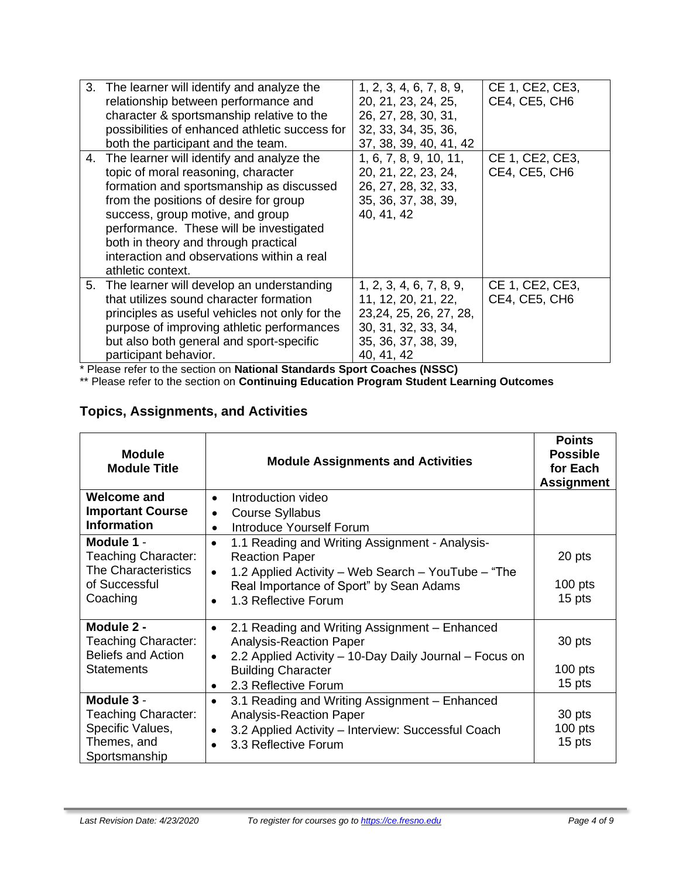| 3. The learner will identify and analyze the<br>relationship between performance and<br>character & sportsmanship relative to the<br>possibilities of enhanced athletic success for<br>both the participant and the team.                                                                                                                                           | 1, 2, 3, 4, 6, 7, 8, 9,<br>20, 21, 23, 24, 25,<br>26, 27, 28, 30, 31,<br>32, 33, 34, 35, 36,<br>37, 38, 39, 40, 41, 42               | CE 1, CE2, CE3,<br>CE4, CE5, CH6 |
|---------------------------------------------------------------------------------------------------------------------------------------------------------------------------------------------------------------------------------------------------------------------------------------------------------------------------------------------------------------------|--------------------------------------------------------------------------------------------------------------------------------------|----------------------------------|
| 4. The learner will identify and analyze the<br>topic of moral reasoning, character<br>formation and sportsmanship as discussed<br>from the positions of desire for group<br>success, group motive, and group<br>performance. These will be investigated<br>both in theory and through practical<br>interaction and observations within a real<br>athletic context. | 1, 6, 7, 8, 9, 10, 11,<br>20, 21, 22, 23, 24,<br>26, 27, 28, 32, 33,<br>35, 36, 37, 38, 39,<br>40, 41, 42                            | CE 1, CE2, CE3,<br>CE4, CE5, CH6 |
| 5. The learner will develop an understanding<br>that utilizes sound character formation<br>principles as useful vehicles not only for the<br>purpose of improving athletic performances<br>but also both general and sport-specific<br>participant behavior.                                                                                                        | 1, 2, 3, 4, 6, 7, 8, 9,<br>11, 12, 20, 21, 22,<br>23,24, 25, 26, 27, 28,<br>30, 31, 32, 33, 34,<br>35, 36, 37, 38, 39,<br>40, 41, 42 | CE 1, CE2, CE3,<br>CE4, CE5, CH6 |

\* Please refer to the section on **National Standards Sport Coaches (NSSC)**

\*\* Please refer to the section on **Continuing Education Program Student Learning Outcomes**

# **Topics, Assignments, and Activities**

| <b>Module</b><br><b>Module Title</b>                                                         | <b>Module Assignments and Activities</b>                                                                                                                                   | <b>Points</b><br><b>Possible</b><br>for Each<br><b>Assignment</b> |
|----------------------------------------------------------------------------------------------|----------------------------------------------------------------------------------------------------------------------------------------------------------------------------|-------------------------------------------------------------------|
| <b>Welcome and</b><br><b>Important Course</b>                                                | Introduction video<br>$\bullet$<br><b>Course Syllabus</b>                                                                                                                  |                                                                   |
| <b>Information</b>                                                                           | $\bullet$<br>Introduce Yourself Forum                                                                                                                                      |                                                                   |
| Module 1 -<br><b>Teaching Character:</b><br>The Characteristics                              | 1.1 Reading and Writing Assignment - Analysis-<br><b>Reaction Paper</b><br>1.2 Applied Activity – Web Search – YouTube – "The<br>$\bullet$                                 | 20 pts                                                            |
| of Successful                                                                                | Real Importance of Sport" by Sean Adams                                                                                                                                    | $100$ pts                                                         |
| Coaching                                                                                     | 1.3 Reflective Forum                                                                                                                                                       | 15 pts                                                            |
| Module 2 -<br><b>Teaching Character:</b><br><b>Beliefs and Action</b>                        | 2.1 Reading and Writing Assignment - Enhanced<br>$\bullet$<br><b>Analysis-Reaction Paper</b><br>2.2 Applied Activity – 10-Day Daily Journal – Focus on                     | 30 pts                                                            |
| <b>Statements</b>                                                                            | <b>Building Character</b>                                                                                                                                                  | $100$ pts                                                         |
|                                                                                              | 2.3 Reflective Forum                                                                                                                                                       | 15 pts                                                            |
| Module 3 -<br><b>Teaching Character:</b><br>Specific Values,<br>Themes, and<br>Sportsmanship | 3.1 Reading and Writing Assignment - Enhanced<br>$\bullet$<br><b>Analysis-Reaction Paper</b><br>3.2 Applied Activity - Interview: Successful Coach<br>3.3 Reflective Forum | 30 pts<br>$100$ pts<br>15 pts                                     |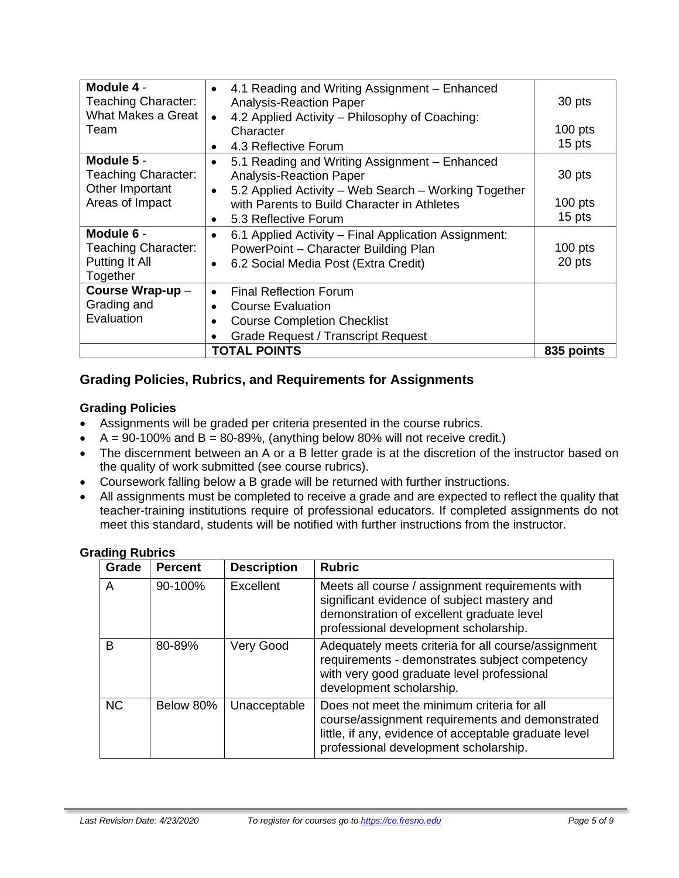| Module 4 -<br><b>Teaching Character:</b> | 4.1 Reading and Writing Assignment – Enhanced<br>$\bullet$<br><b>Analysis-Reaction Paper</b> | 30 pts     |
|------------------------------------------|----------------------------------------------------------------------------------------------|------------|
| What Makes a Great                       | 4.2 Applied Activity – Philosophy of Coaching:<br>$\bullet$                                  |            |
| Team                                     | Character                                                                                    | $100$ pts  |
|                                          | 4.3 Reflective Forum<br>$\bullet$                                                            | 15 pts     |
| Module 5 -                               | 5.1 Reading and Writing Assignment - Enhanced<br>$\bullet$                                   |            |
| Teaching Character:                      | <b>Analysis-Reaction Paper</b>                                                               | 30 pts     |
| Other Important                          | 5.2 Applied Activity – Web Search – Working Together<br>$\bullet$                            |            |
| Areas of Impact                          | with Parents to Build Character in Athletes                                                  | $100$ pts  |
|                                          | 5.3 Reflective Forum<br>٠                                                                    | 15 pts     |
| Module 6 -                               | 6.1 Applied Activity - Final Application Assignment:<br>$\bullet$                            |            |
| <b>Teaching Character:</b>               | PowerPoint - Character Building Plan                                                         | $100$ pts  |
| Putting It All                           | 6.2 Social Media Post (Extra Credit)<br>$\bullet$                                            | 20 pts     |
| Together                                 |                                                                                              |            |
| Course Wrap-up-                          | <b>Final Reflection Forum</b><br>$\bullet$                                                   |            |
| Grading and                              | <b>Course Evaluation</b><br>$\bullet$                                                        |            |
| Evaluation                               | <b>Course Completion Checklist</b>                                                           |            |
|                                          | <b>Grade Request / Transcript Request</b>                                                    |            |
|                                          | <b>TOTAL POINTS</b>                                                                          | 835 points |

# **Grading Policies, Rubrics, and Requirements for Assignments**

### **Grading Policies**

- Assignments will be graded per criteria presented in the course rubrics.
- $A = 90-100\%$  and  $B = 80-89\%$ , (anything below 80% will not receive credit.)
- The discernment between an A or a B letter grade is at the discretion of the instructor based on the quality of work submitted (see course rubrics).
- Coursework falling below a B grade will be returned with further instructions.
- All assignments must be completed to receive a grade and are expected to reflect the quality that teacher-training institutions require of professional educators. If completed assignments do not meet this standard, students will be notified with further instructions from the instructor.

| Grade     | <b>Percent</b> | <b>Description</b> | <b>Rubric</b>                                                                                                                                                                                   |
|-----------|----------------|--------------------|-------------------------------------------------------------------------------------------------------------------------------------------------------------------------------------------------|
| A         | 90-100%        | Excellent          | Meets all course / assignment requirements with<br>significant evidence of subject mastery and<br>demonstration of excellent graduate level<br>professional development scholarship.            |
| B         | 80-89%         | Very Good          | Adequately meets criteria for all course/assignment<br>requirements - demonstrates subject competency<br>with very good graduate level professional<br>development scholarship.                 |
| <b>NC</b> | Below 80%      | Unacceptable       | Does not meet the minimum criteria for all<br>course/assignment requirements and demonstrated<br>little, if any, evidence of acceptable graduate level<br>professional development scholarship. |

#### **Grading Rubrics**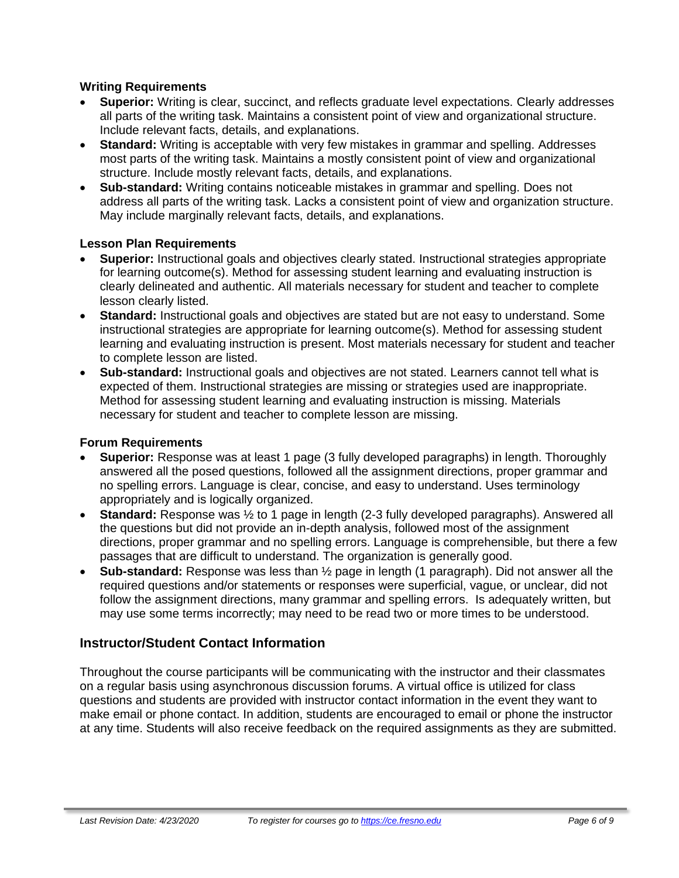#### **Writing Requirements**

- **Superior:** Writing is clear, succinct, and reflects graduate level expectations. Clearly addresses all parts of the writing task. Maintains a consistent point of view and organizational structure. Include relevant facts, details, and explanations.
- **Standard:** Writing is acceptable with very few mistakes in grammar and spelling. Addresses most parts of the writing task. Maintains a mostly consistent point of view and organizational structure. Include mostly relevant facts, details, and explanations.
- **Sub-standard:** Writing contains noticeable mistakes in grammar and spelling. Does not address all parts of the writing task. Lacks a consistent point of view and organization structure. May include marginally relevant facts, details, and explanations.

#### **Lesson Plan Requirements**

- **Superior:** Instructional goals and objectives clearly stated. Instructional strategies appropriate for learning outcome(s). Method for assessing student learning and evaluating instruction is clearly delineated and authentic. All materials necessary for student and teacher to complete lesson clearly listed.
- **Standard:** Instructional goals and objectives are stated but are not easy to understand. Some instructional strategies are appropriate for learning outcome(s). Method for assessing student learning and evaluating instruction is present. Most materials necessary for student and teacher to complete lesson are listed.
- **Sub-standard:** Instructional goals and objectives are not stated. Learners cannot tell what is expected of them. Instructional strategies are missing or strategies used are inappropriate. Method for assessing student learning and evaluating instruction is missing. Materials necessary for student and teacher to complete lesson are missing.

#### **Forum Requirements**

- **Superior:** Response was at least 1 page (3 fully developed paragraphs) in length. Thoroughly answered all the posed questions, followed all the assignment directions, proper grammar and no spelling errors. Language is clear, concise, and easy to understand. Uses terminology appropriately and is logically organized.
- **Standard:** Response was ½ to 1 page in length (2-3 fully developed paragraphs). Answered all the questions but did not provide an in-depth analysis, followed most of the assignment directions, proper grammar and no spelling errors. Language is comprehensible, but there a few passages that are difficult to understand. The organization is generally good.
- **Sub-standard:** Response was less than ½ page in length (1 paragraph). Did not answer all the required questions and/or statements or responses were superficial, vague, or unclear, did not follow the assignment directions, many grammar and spelling errors. Is adequately written, but may use some terms incorrectly; may need to be read two or more times to be understood.

## **Instructor/Student Contact Information**

Throughout the course participants will be communicating with the instructor and their classmates on a regular basis using asynchronous discussion forums. A virtual office is utilized for class questions and students are provided with instructor contact information in the event they want to make email or phone contact. In addition, students are encouraged to email or phone the instructor at any time. Students will also receive feedback on the required assignments as they are submitted.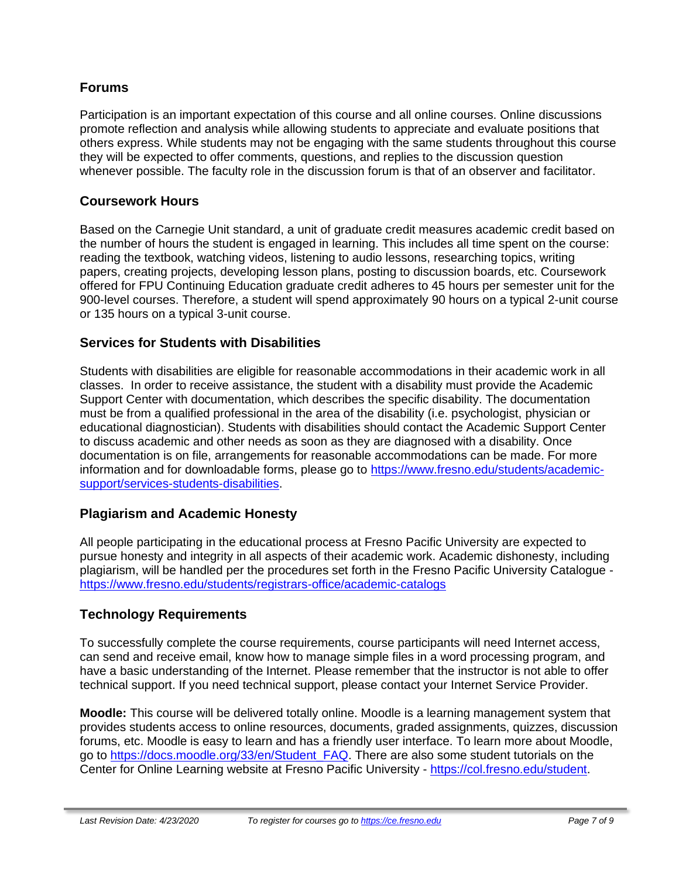## **Forums**

Participation is an important expectation of this course and all online courses. Online discussions promote reflection and analysis while allowing students to appreciate and evaluate positions that others express. While students may not be engaging with the same students throughout this course they will be expected to offer comments, questions, and replies to the discussion question whenever possible. The faculty role in the discussion forum is that of an observer and facilitator.

## **Coursework Hours**

Based on the Carnegie Unit standard, a unit of graduate credit measures academic credit based on the number of hours the student is engaged in learning. This includes all time spent on the course: reading the textbook, watching videos, listening to audio lessons, researching topics, writing papers, creating projects, developing lesson plans, posting to discussion boards, etc. Coursework offered for FPU Continuing Education graduate credit adheres to 45 hours per semester unit for the 900-level courses. Therefore, a student will spend approximately 90 hours on a typical 2-unit course or 135 hours on a typical 3-unit course.

## **Services for Students with Disabilities**

Students with disabilities are eligible for reasonable accommodations in their academic work in all classes. In order to receive assistance, the student with a disability must provide the Academic Support Center with documentation, which describes the specific disability. The documentation must be from a qualified professional in the area of the disability (i.e. psychologist, physician or educational diagnostician). Students with disabilities should contact the Academic Support Center to discuss academic and other needs as soon as they are diagnosed with a disability. Once documentation is on file, arrangements for reasonable accommodations can be made. For more information and for downloadable forms, please go to [https://www.fresno.edu/students/academic](https://www.fresno.edu/students/academic-support/services-students-disabilities)[support/services-students-disabilities.](https://www.fresno.edu/students/academic-support/services-students-disabilities)

## **Plagiarism and Academic Honesty**

All people participating in the educational process at Fresno Pacific University are expected to pursue honesty and integrity in all aspects of their academic work. Academic dishonesty, including plagiarism, will be handled per the procedures set forth in the Fresno Pacific University Catalogue <https://www.fresno.edu/students/registrars-office/academic-catalogs>

## **Technology Requirements**

To successfully complete the course requirements, course participants will need Internet access, can send and receive email, know how to manage simple files in a word processing program, and have a basic understanding of the Internet. Please remember that the instructor is not able to offer technical support. If you need technical support, please contact your Internet Service Provider.

**Moodle:** This course will be delivered totally online. Moodle is a learning management system that provides students access to online resources, documents, graded assignments, quizzes, discussion forums, etc. Moodle is easy to learn and has a friendly user interface. To learn more about Moodle, go to [https://docs.moodle.org/33/en/Student\\_FAQ.](https://docs.moodle.org/33/en/Student_FAQ) There are also some student tutorials on the Center for Online Learning website at Fresno Pacific University - [https://col.fresno.edu/student.](https://col.fresno.edu/student)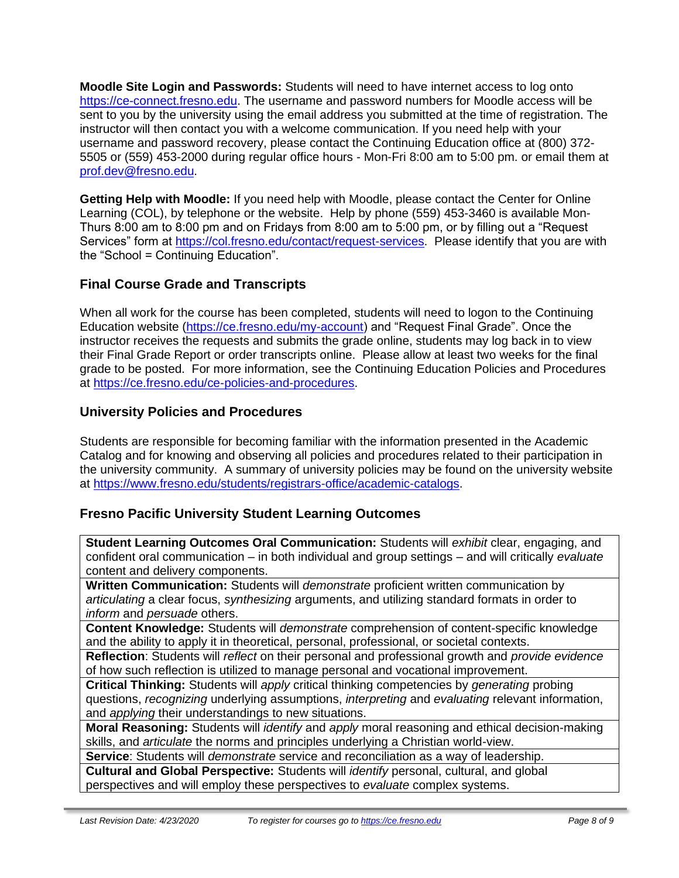**Moodle Site Login and Passwords:** Students will need to have internet access to log onto [https://ce-connect.fresno.edu.](https://ce-connect.fresno.edu/) The username and password numbers for Moodle access will be sent to you by the university using the email address you submitted at the time of registration. The instructor will then contact you with a welcome communication. If you need help with your username and password recovery, please contact the Continuing Education office at (800) 372- 5505 or (559) 453-2000 during regular office hours - Mon-Fri 8:00 am to 5:00 pm. or email them at [prof.dev@fresno.edu.](mailto:prof.dev@fresno.edu)

**Getting Help with Moodle:** If you need help with Moodle, please contact the Center for Online Learning (COL), by telephone or the website. Help by phone (559) 453-3460 is available Mon-Thurs 8:00 am to 8:00 pm and on Fridays from 8:00 am to 5:00 pm, or by filling out a "Request Services" form at [https://col.fresno.edu/contact/request-services.](https://col.fresno.edu/contact/request-services) Please identify that you are with the "School = Continuing Education".

# **Final Course Grade and Transcripts**

When all work for the course has been completed, students will need to logon to the Continuing Education website [\(https://ce.fresno.edu/my-account\)](https://ce.fresno.edu/my-account) and "Request Final Grade". Once the instructor receives the requests and submits the grade online, students may log back in to view their Final Grade Report or order transcripts online. Please allow at least two weeks for the final grade to be posted. For more information, see the Continuing Education Policies and Procedures at [https://ce.fresno.edu/ce-policies-and-procedures.](https://ce.fresno.edu/ce-policies-and-procedures)

# **University Policies and Procedures**

Students are responsible for becoming familiar with the information presented in the Academic Catalog and for knowing and observing all policies and procedures related to their participation in the university community. A summary of university policies may be found on the university website at [https://www.fresno.edu/students/registrars-office/academic-catalogs.](https://www.fresno.edu/students/registrars-office/academic-catalogs)

# **Fresno Pacific University Student Learning Outcomes**

**Student Learning Outcomes Oral Communication:** Students will *exhibit* clear, engaging, and confident oral communication – in both individual and group settings – and will critically *evaluate*  content and delivery components.

**Written Communication:** Students will *demonstrate* proficient written communication by *articulating* a clear focus, *synthesizing* arguments, and utilizing standard formats in order to *inform* and *persuade* others.

**Content Knowledge:** Students will *demonstrate* comprehension of content-specific knowledge and the ability to apply it in theoretical, personal, professional, or societal contexts.

**Reflection**: Students will *reflect* on their personal and professional growth and *provide evidence*  of how such reflection is utilized to manage personal and vocational improvement.

**Critical Thinking:** Students will *apply* critical thinking competencies by *generating* probing questions, *recognizing* underlying assumptions, *interpreting* and *evaluating* relevant information, and *applying* their understandings to new situations.

**Moral Reasoning:** Students will *identify* and *apply* moral reasoning and ethical decision-making skills, and *articulate* the norms and principles underlying a Christian world-view.

**Service**: Students will *demonstrate* service and reconciliation as a way of leadership.

**Cultural and Global Perspective:** Students will *identify* personal, cultural, and global perspectives and will employ these perspectives to *evaluate* complex systems.